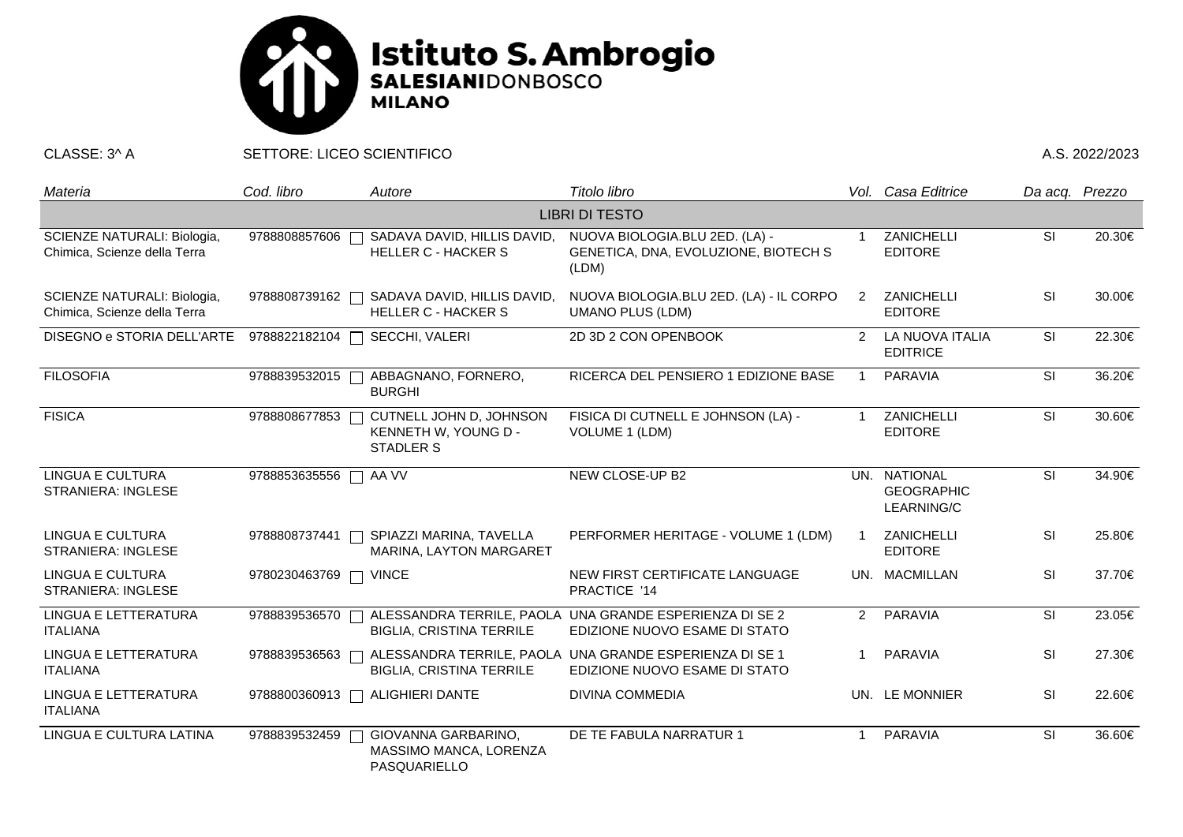

CLASSE: 3^ A SETTORE: LICEO SCIENTIFICO A.S. 2022/2023

| Materia                                                     | Cod. libro    | Autore                                                              | Titolo libro                                                                             |                | Vol. Casa Editrice                                     | Da acq. Prezzo           |        |  |  |  |  |
|-------------------------------------------------------------|---------------|---------------------------------------------------------------------|------------------------------------------------------------------------------------------|----------------|--------------------------------------------------------|--------------------------|--------|--|--|--|--|
| <b>LIBRI DI TESTO</b>                                       |               |                                                                     |                                                                                          |                |                                                        |                          |        |  |  |  |  |
| SCIENZE NATURALI: Biologia,<br>Chimica, Scienze della Terra | 9788808857606 | SADAVA DAVID, HILLIS DAVID,<br><b>HELLER C - HACKER S</b>           | NUOVA BIOLOGIA.BLU 2ED. (LA) -<br>GENETICA, DNA, EVOLUZIONE, BIOTECH S<br>(LDM)          | -1             | ZANICHELLI<br><b>EDITORE</b>                           | <b>SI</b>                | 20.30€ |  |  |  |  |
| SCIENZE NATURALI: Biologia,<br>Chimica, Scienze della Terra | 9788808739162 | SADAVA DAVID, HILLIS DAVID,<br><b>HELLER C - HACKER S</b>           | NUOVA BIOLOGIA.BLU 2ED. (LA) - IL CORPO<br><b>UMANO PLUS (LDM)</b>                       | $\overline{2}$ | ZANICHELLI<br><b>EDITORE</b>                           | SI                       | 30.00€ |  |  |  |  |
| DISEGNO e STORIA DELL'ARTE                                  | 9788822182104 | SECCHI, VALERI                                                      | 2D 3D 2 CON OPENBOOK                                                                     | $\mathcal{P}$  | LA NUOVA ITALIA<br><b>EDITRICE</b>                     | <b>SI</b>                | 22.30€ |  |  |  |  |
| <b>FILOSOFIA</b>                                            | 9788839532015 | ABBAGNANO, FORNERO,<br><b>BURGHI</b>                                | RICERCA DEL PENSIERO 1 EDIZIONE BASE                                                     | -1             | <b>PARAVIA</b>                                         | SI                       | 36.20€ |  |  |  |  |
| <b>FISICA</b>                                               | 9788808677853 | CUTNELL JOHN D, JOHNSON<br>KENNETH W, YOUNG D -<br><b>STADLER S</b> | FISICA DI CUTNELL E JOHNSON (LA) -<br>VOLUME 1 (LDM)                                     | -1             | <b>ZANICHELLI</b><br><b>EDITORE</b>                    | SI                       | 30.60€ |  |  |  |  |
| <b>LINGUA E CULTURA</b><br><b>STRANIERA: INGLESE</b>        | 9788853635556 | AA VV                                                               | NEW CLOSE-UP B2                                                                          |                | UN. NATIONAL<br><b>GEOGRAPHIC</b><br><b>LEARNING/C</b> | SI                       | 34.90€ |  |  |  |  |
| <b>LINGUA E CULTURA</b><br><b>STRANIERA: INGLESE</b>        | 9788808737441 | SPIAZZI MARINA, TAVELLA<br>MARINA, LAYTON MARGARET                  | PERFORMER HERITAGE - VOLUME 1 (LDM)                                                      |                | ZANICHELLI<br><b>EDITORE</b>                           | <b>SI</b>                | 25.80€ |  |  |  |  |
| LINGUA E CULTURA<br><b>STRANIERA: INGLESE</b>               | 9780230463769 | <b>VINCE</b>                                                        | NEW FIRST CERTIFICATE LANGUAGE<br>PRACTICE '14                                           |                | UN. MACMILLAN                                          | <b>SI</b>                | 37.70€ |  |  |  |  |
| <b>LINGUA E LETTERATURA</b><br><b>ITALIANA</b>              | 9788839536570 | <b>BIGLIA, CRISTINA TERRILE</b>                                     | ALESSANDRA TERRILE, PAOLA UNA GRANDE ESPERIENZA DI SE 2<br>EDIZIONE NUOVO ESAME DI STATO | $\mathcal{P}$  | PARAVIA                                                | $\overline{\mathsf{SI}}$ | 23.05€ |  |  |  |  |
| LINGUA E LETTERATURA<br><b>ITALIANA</b>                     | 9788839536563 | <b>BIGLIA, CRISTINA TERRILE</b>                                     | ALESSANDRA TERRILE, PAOLA UNA GRANDE ESPERIENZA DI SE 1<br>EDIZIONE NUOVO ESAME DI STATO | -1             | <b>PARAVIA</b>                                         | SI                       | 27.30€ |  |  |  |  |
| LINGUA E LETTERATURA<br><b>ITALIANA</b>                     | 9788800360913 | <b>ALIGHIERI DANTE</b>                                              | <b>DIVINA COMMEDIA</b>                                                                   |                | UN. LE MONNIER                                         | SI                       | 22.60€ |  |  |  |  |
| LINGUA E CULTURA LATINA                                     | 9788839532459 | GIOVANNA GARBARINO,<br>MASSIMO MANCA, LORENZA<br>PASQUARIELLO       | DE TE FABULA NARRATUR 1                                                                  | -1             | <b>PARAVIA</b>                                         | SI                       | 36.60€ |  |  |  |  |